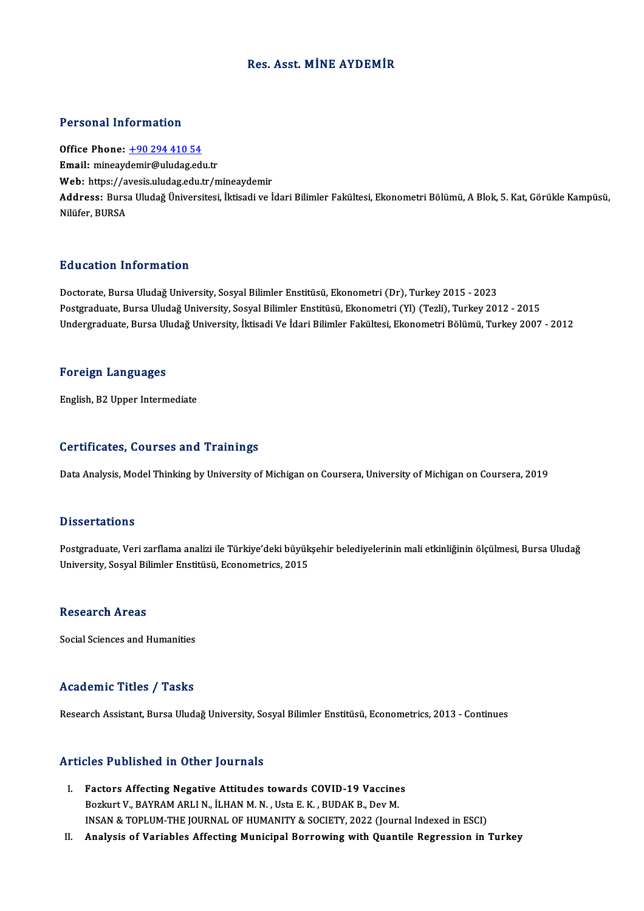## Res. Asst.MİNE AYDEMİR

### Personal Information

Office Phone: +90 294 410 54 Email: mineay[demir@uludag.ed](tel:+90 294 410 54)u.tr Office Phone: <u>+90 294 410 54</u><br>Email: mineaydemir@uludag.edu.tr<br>Web: https://avesis.uludag.edu.tr/mineaydemir<br>Address. Burss.Uludağ Üniversitesi İltisadi.ve İ Address: Bursa Uludağ Üniversitesi, İktisadi ve İdari Bilimler Fakültesi, Ekonometri Bölümü, A Blok, 5. Kat, Görükle Kampüsü,<br>Nilüfer. BURSA Web: https://a<br>Address: Burs:<br>Nilüfer, BURSA

## Education Information

Doctorate, Bursa Uludağ University, Sosyal Bilimler Enstitüsü, Ekonometri (Dr), Turkey 2015 - 2023 Postgraduate, Bursa Uludağ University, Sosyal Bilimler Enstitüsü, Ekonometri (Yl) (Tezli), Turkey 2012 - 2015 Undergraduate, Bursa Uludağ University, İktisadi Ve İdari Bilimler Fakültesi, Ekonometri Bölümü, Turkey 2007 - 2012

#### Foreign Languages

English,B2Upper Intermediate

### Certificates, Courses and Trainings

Data Analysis, Model Thinking by University of Michigan on Coursera, University of Michigan on Coursera, 2019

#### **Dissertations**

Dissertations<br>Postgraduate, Veri zarflama analizi ile Türkiye'deki büyükşehir belediyelerinin mali etkinliğinin ölçülmesi, Bursa Uludağ<br>University, Sosval Bilimler Enstitüsü, Esenemetrise, 2015 D'issor tatrome<br>Postgraduate, Veri zarflama analizi ile Türkiye'deki büyük<br>University, Sosyal Bilimler Enstitüsü, Econometrics, 2015 University, Sosyal Bilimler Enstitüsü, Econometrics, 2015<br>Research Areas

Social Sciences and Humanities

### Academic Titles / Tasks

Research Assistant, Bursa Uludağ University, Sosyal Bilimler Enstitüsü, Econometrics, 2013 - Continues

### Articles Published in Other Journals

- I. Factors Affecting Negative Attitudes towards COVID-19 Vaccines Bozkurt V., BAYRAM ARLI N., İLHAN M. N., Usta E. K., BUDAK B., Dev M. INSAN&TOPLUM-THEJOURNALOFHUMANITY&SOCIETY,2022 (Journal Indexed inESCI)
- II. Analysis of Variables Affecting Municipal Borrowing with Quantile Regression in Turkey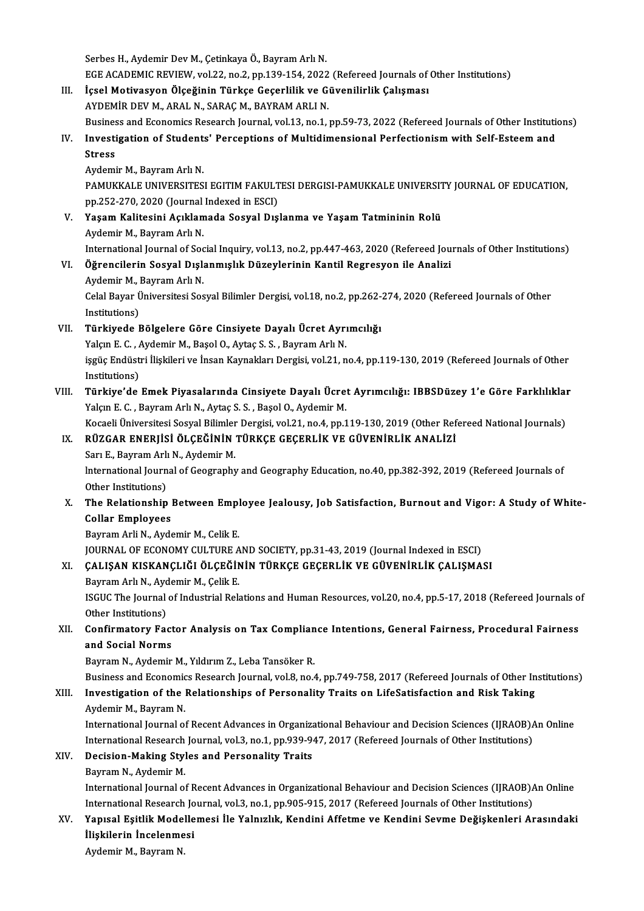Serbes H., Aydemir Dev M., Çetinkaya Ö., Bayram Arlı N. Serbes H., Aydemir Dev M., Çetinkaya Ö., Bayram Arlı N.<br>EGE ACADEMIC REVIEW, vol.22, no.2, pp.139-154, 2022 (Refereed Journals of Other Institutions)<br>İssal Matiyasyan Ölseğinin Türkse Casarlilik ve Güyanilirlik Calısması Serbes H., Aydemir Dev M., Çetinkaya Ö., Bayram Arlı N.<br>EGE ACADEMIC REVIEW, vol.22, no.2, pp.139-154, 2022 (Refereed Journals of<br>III. İçsel Motivasyon Ölçeğinin Türkçe Geçerlilik ve Güvenilirlik Çalışması<br>AYDEMİR DEV M. A

- EGE ACADEMIC REVIEW, vol.22, no.2, pp.139-154, 2022<br>İçsel Motivasyon Ölçeğinin Türkçe Geçerlilik ve G<br>AYDEMİR DEV M., ARAL N., SARAÇ M., BAYRAM ARLI N.<br>Business and Esenemise Besearsh Jeurnal vol.13, ne.1 İçsel Motivasyon Ölçeğinin Türkçe Geçerlilik ve Güvenilirlik Çalışması<br>AYDEMİR DEV M., ARAL N., SARAÇ M., BAYRAM ARLI N.<br>Business and Economics Research Journal, vol.13, no.1, pp.59-73, 2022 (Refereed Journals of Other Ins AYDEMİR DEV M., ARAL N., SARAÇ M., BAYRAM ARLI N.<br>Business and Economics Research Journal, vol.13, no.1, pp.59-73, 2022 (Refereed Journals of Other Institution<br>IV. Investigation of Students' Perceptions of Multidimensional
- Busines<br>Investi<br>Stress<br>Audami **Investigation of Student<br>Stress<br>Aydemir M., Bayram Arlı N.<br>BAMIKKALE UNIVERSITES** Stress<br>Aydemir M., Bayram Arlı N.<br>PAMUKKALE UNIVERSITESI EGITIM FAKULTESI DERGISI-PAMUKKALE UNIVERSITY JOURNAL OF EDUCATION,

Aydemir M., Bayram Arlı N.<br>PAMUKKALE UNIVERSITESI EGITIM FAKULT<br>pp.252-270, 2020 (Journal Indexed in ESCI)<br>Yasam Kalitesini Asıklamada Sasyal Dış

- V. Yaşam Kalitesini Açıklamada Sosyal Dışlanma ve Yaşam Tatmininin Rolü<br>Aydemir M., Bayram Arlı N. pp.252-270, 2020 (Journal<br><mark>Yaşam Kalitesini Açıklan</mark><br>Aydemir M., Bayram Arlı N.<br>International Journal of See International Journal of Social Inquiry, vol.13, no.2, pp.447-463, 2020 (Refereed Journals of Other Institutions) Aydemir M., Bayram Arlı N.<br>International Journal of Social Inquiry, vol.13, no.2, pp.447-463, 2020 (Refereed Jou<br>VI. Öğrencilerin Sosyal Dışlanmışlık Düzeylerinin Kantil Regresyon ile Analizi<br>Aydamir M. Bayram Arlı N
- International Journal of Soc<br>**Öğrencilerin Sosyal Dışl**ı<br>Aydemir M., Bayram Arlı N.<br>Celal Bayan Üniversitesi Soc Aydemir M., Bayram Arlı N.

Celal Bayar Üniversitesi Sosyal Bilimler Dergisi, vol.18, no.2, pp.262-274, 2020 (Refereed Journals of Other<br>Institutions) Celal Bayar Üniversitesi Sosyal Bilimler Dergisi, vol.18, no.2, pp.262-<br>Institutions)<br>VII. Türkiyede Bölgelere Göre Cinsiyete Dayalı Ücret Ayrımcılığı<br>Velam E.C. Aydamin M. Basal O. Aytas S. S. Bayram Arlı N. Institutions)<br>Türkiyede Bölgelere Göre Cinsiyete Dayalı Ücret Ayrı<br>Yalçın E. C. , Aydemir M., Başol O., Aytaç S. S. , Bayram Arlı N.<br>issüe Endüstri İliakileri ve İnsan Kaynalıları Dergisi vel 31 n

Türkiyede Bölgelere Göre Cinsiyete Dayalı Ücret Ayrımcılığı<br>Yalçın E. C. , Aydemir M., Başol O., Aytaç S. S. , Bayram Arlı N.<br>işgüç Endüstri İlişkileri ve İnsan Kaynakları Dergisi, vol.21, no.4, pp.119-130, 2019 (Refereed Yalçın E. C. , Aydemir M., Başol O., Aytaç S. S. , Bayram Arlı N.<br>işgüç Endüstri İlişkileri ve İnsan Kaynakları Dergisi, vol.21, no.4, pp.119-130, 2019 (Refereed Journals of Other<br>Institutions)<br>Türkiye'de Emek Piyasalarınd işgüç Endüstri İlişkileri ve İnsan Kaynakları Dergisi, vol.21, no.4, pp.119-130, 2019 (Refereed Journals of Other<br>Institutions)<br>VIII. Türkiye'de Emek Piyasalarında Cinsiyete Dayalı Ücret Ayrımcılığı: IBBSDüzey 1'e Göre Far

## Yalçın E.C., Bayram Arlı N., Aytaç S.S., Başol O., Aydemir M. Türkiye'de Emek Piyasalarında Cinsiyete Dayalı Ücret Ayrımcılığı: IBBSDüzey 1'e Göre Farklılıklaı<br>Yalçın E. C. , Bayram Arlı N., Aytaç S. S. , Başol O., Aydemir M.<br>Kocaeli Üniversitesi Sosyal Bilimler Dergisi, vol.21, no.4

## IX. RÜZGAR ENERJİSİ ÖLÇEĞİNİN TÜRKÇE GEÇERLİK VE GÜVENİRLİK ANALİZİ Kocaeli Üniversitesi Sosyal Bilimler<br>RÜZGAR ENERJİSİ ÖLÇEĞİNİN<br>Sarı E., Bayram Arlı N., Aydemir M.<br>International Journal of Coography

RÜZGAR ENERJİSİ ÖLÇEĞİNİN TÜRKÇE GEÇERLİK VE GÜVENİRLİK ANALİZİ<br>Sarı E., Bayram Arlı N., Aydemir M.<br>International Journal of Geography and Geography Education, no.40, pp.382-392, 2019 (Refereed Journals of<br>Other Institutio Sarı E., Bayram Arlı<br>International Journ<br>Other Institutions)<br>The Belationshin International Journal of Geography and Geography Education, no.40, pp.382-392, 2019 (Refereed Journals of Other Institutions)<br>X. The Relationship Between Employee Jealousy, Job Satisfaction, Burnout and Vigor: A Study of W

# Other Institutions)<br>The Relationship<br>Collar Employees<br>Permam Arli N. Arde The Relationship Between Empl<br>Collar Employees<br>Bayram Arli N., Aydemir M., Celik E.<br>JOUPNAL OF ECONOMY CULTURE A Collar <mark>Employees</mark><br>Bayram Arli N., Aydemir M., Celik E.<br>JOURNAL OF ECONOMY CULTURE AND SOCIETY, pp.31-43, 2019 (Journal Indexed in ESCI)<br>CALISAN KISKANCLIČI ÖLGEĞİNİN TÜRKÇE GEGERLİK VE GÜVENİRLİK GALISMA

# Bayram Arli N., Aydemir M., Celik E.<br>JOURNAL OF ECONOMY CULTURE AND SOCIETY, pp.31-43, 2019 (Journal Indexed in ESCI)<br>XI. CALIŞAN KISKANÇLIĞI ÖLÇEĞİNİN TÜRKÇE GEÇERLİK VE GÜVENİRLİK ÇALIŞMASI<br>Paymam Arlı N. Aydamir M. Celi JOURNAL OF ECONOMY CULTURE A<br>ÇALIŞAN KISKANÇLIĞI ÖLÇEĞIN<br>Bayram Arlı N., Aydemir M., Çelik E.<br>ISCUC The Journal of Industrial Bols

ÇALIŞAN KISKANÇLIĞI ÖLÇEĞİNİN TÜRKÇE GEÇERLİK VE GÜVENİRLİK ÇALIŞMASI<br>Bayram Arlı N., Aydemir M., Çelik E.<br>ISGUC The Journal of Industrial Relations and Human Resources, vol.20, no.4, pp.5-17, 2018 (Refereed Journals of<br>Ot Bayram Arlı N., Ayd<br>ISGUC The Journal<br>Other Institutions)<br>Confirmatoru Fac ISGUC The Journal of Industrial Relations and Human Resources, vol.20, no.4, pp.5-17, 2018 (Refereed Journals o<br>Other Institutions)<br>XII. Confirmatory Factor Analysis on Tax Compliance Intentions, General Fairness, Procedur

# Other Institutions)<br>Confirmatory Factor Analysis on Tax Complian<br>and Social Norms<br>Bayram N., Aydemir M., Yıldırım Z., Leba Tansöker R. Confirmatory Factor Analysis on Tax Complian<br>and Social Norms<br>Bayram N., Aydemir M., Yıldırım Z., Leba Tansöker R.<br>Pusiness and Feanamiss Basearsh Jaurnal val 9. na 4

Business and Economics Research Journal, vol.8, no.4, pp.749-758, 2017 (Refereed Journals of Other Institutions)

# Bayram N., Aydemir M., Yıldırım Z., Leba Tansöker R.<br>Business and Economics Research Journal, vol.8, no.4, pp.749-758, 2017 (Refereed Journals of Other In<br>XIII. Investigation of the Relationships of Personality Traits on L Business and Economic<br>Investigation of the l<br>Aydemir M., Bayram N.<br>International Iournal of Investigation of the Relationships of Personality Traits on LifeSatisfaction and Risk Taking<br>Aydemir M., Bayram N.<br>International Journal of Recent Advances in Organizational Behaviour and Decision Sciences (IJRAOB)An Onlin

Aydemir M., Bayram N.<br>International Journal of Recent Advances in Organizational Behaviour and Decision Sciences (IJRAOB).<br>International Research Journal, vol.3, no.1, pp.939-947, 2017 (Refereed Journals of Other Instituti International Journal of Recent Advances in Organizational Behaviour and Decision Sciences (IJRAOB)An Online<br>International Research Journal, vol.3, no.1, pp.939-947, 2017 (Refereed Journals of Other Institutions)<br>XIV. Deci

# International Research<br>Decision-Making Styl<br>Bayram N., Aydemir M.<br>International Iournal o

Decision-Making Styles and Personality Traits<br>Bayram N., Aydemir M.<br>International Journal of Recent Advances in Organizational Behaviour and Decision Sciences (IJRAOB)An Online<br>International Bessensh Journal vol.3, no.1, n Bayram N., Aydemir M.<br>International Journal of Recent Advances in Organizational Behaviour and Decision Sciences (IJRAOB).<br>International Research Journal, vol.3, no.1, pp.905-915, 2017 (Refereed Journals of Other Instituti International Journal of Recent Advances in Organizational Behaviour and Decision Sciences (IJRAOB)An Online<br>International Research Journal, vol.3, no.1, pp.905-915, 2017 (Refereed Journals of Other Institutions)<br>XV. Yap

# International Research Journal, vol.3, no.1, pp.905-915, 2017 (Refereed Journals of Other Institutions)<br>XV. Yapısal Eşitlik Modellemesi İle Yalnızlık, Kendini Affetme ve Kendini Sevme Değişkenleri Arasındaki<br>İlişkilerin

Aydemir M., Bayram N.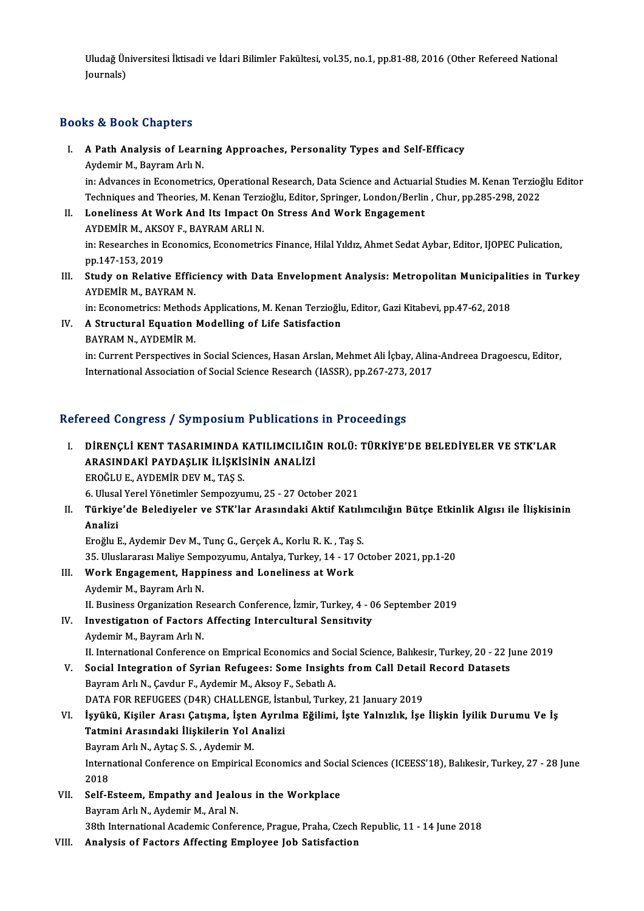Uludağ Üniversitesi İktisadi ve İdari Bilimler Fakültesi, vol.35, no.1, pp.81-88, 2016 (Other Refereed National<br>Journale) Uludağ Ün<br>Journals)

# Journals)<br>Books & Book Chapters

- ooks & Book Chapters<br>I. A Path Analysis of Learning Approaches, Personality Types and Self-Efficacy<br>Aydomir M. Payram Ark N A Path Analysis of Learn<br>Aydemir M., Bayram Arlı N.<br>İn: Advances in Econometri A Path Analysis of Learning Approaches, Personality Types and Self-Efficacy<br>Aydemir M., Bayram Arlı N.<br>in: Advances in Econometrics, Operational Research, Data Science and Actuarial Studies M. Kenan Terzioğlu Editor<br>Techni Aydemir M., Bayram Arlı N.<br>in: Advances in Econometrics, Operational Research, Data Science and Actuarial Studies M. Kenan Terzioğ<br>Techniques and Theories, M. Kenan Terzioğlu, Editor, Springer, London/Berlin , Chur, pp.285 in: Advances in Econometrics, Operational Research, Data Science and Actuaria<br>Techniques and Theories, M. Kenan Terzioğlu, Editor, Springer, London/Berlin<br>II. Loneliness At Work And Its Impact On Stress And Work Engagement
- Techniques and Theories, M. Kenan Terzi<br>Loneliness At Work And Its Impact C<br>AYDEMİR M., AKSOY F., BAYRAM ARLI N.<br>in: Besearsbes in Feanamics Feanametri. Loneliness At Work And Its Impact On Stress And Work Engagement<br>AYDEMİR M., AKSOY F., BAYRAM ARLI N.<br>in: Researches in Economics, Econometrics Finance, Hilal Yıldız, Ahmet Sedat Aybar, Editor, IJOPEC Pulication,<br>nn 147 152 AYDEMİR M., AKSO<br>in: Researches in E<br>pp.147-153, 2019<br>Study on Belativ In: Researches in Economics, Econometrics Finance, Hilal Yıldız, Ahmet Sedat Aybar, Editor, IJOPEC Pulication,<br>pp.147-153, 2019<br>III. Study on Relative Efficiency with Data Envelopment Analysis: Metropolitan Municipalities
- pp.147-153, 2019<br><mark>Study on Relative Effic</mark><br>AYDEMİR M., BAYRAM N.<br>in: Econometrice: Method Study on Relative Efficiency with Data Envelopment Analysis: Metropolitan Municipalit<br>AYDEMİR M., BAYRAM N.<br>in: Econometrics: Methods Applications, M. Kenan Terzioğlu, Editor, Gazi Kitabevi, pp.47-62, 2018<br>A Strugtural Equ

AYDEMİR M., BAYRAM N.<br>in: Econometrics: Methods Applications, M. Kenan Terzioğlı<br>IV. A Structural Equation Modelling of Life Satisfaction in: Econometrics: Method<br>A Structural Equation<br>BAYRAM N., AYDEMİR M.<br>in: Current Perepectives i A Structural Equation Modelling of Life Satisfaction<br>BAYRAM N., AYDEMİR M.<br>in: Current Perspectives in Social Sciences, Hasan Arslan, Mehmet Ali İçbay, Alina-Andreea Dragoescu, Editor,<br>International Association of Social S BAYRAM N., AYDEMİR M.<br>in: Current Perspectives in Social Sciences, Hasan Arslan, Mehmet Ali İçbay, Alina<br>International Association of Social Science Research (IASSR), pp.267-273, 2017

# International Association of Social Science Research (IASSR), pp.267-273, 2017<br>Refereed Congress / Symposium Publications in Proceedings

- efereed Congress / Symposium Publications in Proceedings<br>I. DİRENÇLİ KENT TASARIMINDA KATILIMCILIĞIN ROLÜ: TÜRKİYE'DE BELEDİYELER VE STK'LAR<br>ARASINDAKİ PAYDASLIK İLİSKİSİNİN ANALİZİ TOCA GÖNETCIST TASARIMINDA KATILIMCILIĞI<br>DİRENÇLİ KENT TASARIMINDA KATILIMCILIĞI<br>ARASINDAKİ PAYDAŞLIK İLİŞKİSİNİN ANALİZİ DİRENÇLİ KENT TASARIMINDA I<br>ARASINDAKİ PAYDAŞLIK İLİŞKİS<br>EROĞLU E., AYDEMİR DEV M., TAŞ S.<br>6. Ulucal Yaral Yönetimlar Samnazını ARASINDAKİ PAYDAŞLIK İLİŞKİSİNİN ANALİZİ<br>EROĞLU E., AYDEMİR DEV M., TAŞ S.<br>6. Ulusal Yerel Yönetimler Sempozyumu, 25 - 27 October 2021<br>Türkiye'de Belediyeler ve STK'ler Arasındaki Aktif Ketıl EROĞLU E., AYDEMİR DEV M., TAŞ S.<br>6. Ulusal Yerel Yönetimler Sempozyumu, 25 - 27 October 2021<br>II. Türkiye'de Belediyeler ve STK'lar Arasındaki Aktif Katılımcılığın Bütçe Etkinlik Algısı ile İlişkisinin<br>Analizi
- 6. Ulusa<br><mark>Türkiye</mark><br>Analizi Türkiye'de Belediyeler ve STK'lar Arasındaki Aktif Katılı:<br>Analizi<br>Eroğlu E., Aydemir Dev M., Tunç G., Gerçek A., Korlu R. K. , Taş S.<br>25 Uluelerenes Maliye Semnewnumu, Antalya Turkey 14, 17 O. Analizi<br>Eroğlu E., Aydemir Dev M., Tunç G., Gerçek A., Korlu R. K. , Taş S.<br>35. Uluslararası Maliye Sempozyumu, Antalya, Turkey, 14 - 17 October 2021, pp.1-20

Eroğlu E., Aydemir Dev M., Tunç G., Gerçek A., Korlu R. K. , Taş<br>35. Uluslararası Maliye Sempozyumu, Antalya, Turkey, 14 - 17<br>III. Work Engagement, Happiness and Loneliness at Work 35. Uluslararası Maliye Sem<br>Work Engagement, Happ<br>Aydemir M., Bayram Arlı N.<br>II. Business Organization Be

Aydemir M., Bayram Arlı N.<br>II. Business Organization Research Conference, İzmir, Turkey, 4 - 06 September 2019

# Aydemir M., Bayram Arlı N.<br>II. Business Organization Research Conference, İzmir, Turkey, 4 - 0<br>IV. Investigation of Factors Affecting Intercultural Sensitivity

**II. Business Organization Re<br>Investigation of Factors<br>Aydemir M., Bayram Arlı N.<br>II. International Conference** Aydemir M., Bayram Arlı N.<br>II. International Conference on Emprical Economics and Social Science, Balıkesir, Turkey, 20 - 22 June 2019 Aydemir M., Bayram Arlı N.<br>II. International Conference on Emprical Economics and Social Science, Balıkesir, Turkey, 20 - 22 J<br>V. Social Integration of Syrian Refugees: Some Insights from Call Detail Record Datasets<br>Payram

II. International Conference on Emprical Economics and S<br>Social Integration of Syrian Refugees: Some Insigh<br>Bayram Arlı N., Çavdur F., Aydemir M., Aksoy F., Sebatlı A.<br>DATA EOP PEEUCEES (DAP) CHALLENCE İstanbul Turk Social Integration of Syrian Refugees: Some Insights from Call Detail<br>Bayram Arlı N., Çavdur F., Aydemir M., Aksoy F., Sebatlı A.<br>DATA FOR REFUGEES (D4R) CHALLENGE, İstanbul, Turkey, 21 January 2019<br>İavültü, Kisiler Arası

- Bayram Arlı N., Çavdur F., Aydemir M., Aksoy F., Sebatlı A.<br>DATA FOR REFUGEES (D4R) CHALLENGE, İstanbul, Turkey, 21 January 2019<br>VI. İşyükü, Kişiler Arası Çatışma, İşten Ayrılma Eğilimi, İşte Yalnızlık, İşe İlişkin İyilik DATA FOR REFUGEES (D4R) CHALLENGE, İst<br>İşyükü, Kişiler Arası Çatışma, İşten Ayrılı<br>Tatmini Arasındaki İlişkilerin Yol Analizi<br>Bayram Arlı N. Aytas S. S. Aydamir M İşyükü, Kişiler Arası Çatışma, İşten<br>Tatmini Arasındaki İlişkilerin Yol *I*<br>Bayram Arlı N., Aytaç S. S. , Aydemir M.<br>International Conference on Emninical Tatmini Arasındaki İlişkilerin Yol Analizi<br>Bayram Arlı N., Aytaç S. S. , Aydemir M.<br>International Conference on Empirical Economics and Social Sciences (ICEESS'18), Balıkesir, Turkey, 27 - 28 June<br>2018 Bayra<br>Intern<br>2018<br>Self E International Conference on Empirical Economics and Social 2018<br>VII. Self-Esteem, Empathy and Jealous in the Workplace<br>Pouram Ark M. Audomin M. Aral N.
- 2018<br>VII. Self-Esteem, Empathy and Jealous in the Workplace<br>Bayram Arlı N., Aydemir M., Aral N. 38th International Academic Conference, Prague, Praha, Czech Republic, 11 - 14 June 2018
- VIII. Analysis of Factors Affecting Employee Job Satisfaction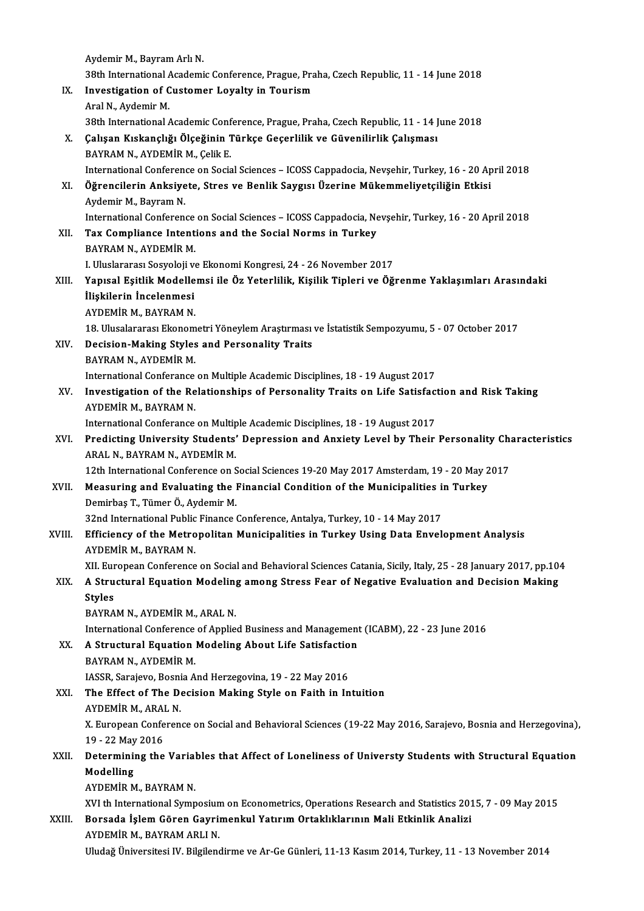|        | Aydemir M., Bayram Arlı N.                                                                                      |
|--------|-----------------------------------------------------------------------------------------------------------------|
|        | 38th International Academic Conference, Prague, Praha, Czech Republic, 11 - 14 June 2018                        |
| IX.    | Investigation of Customer Loyalty in Tourism                                                                    |
|        | Aral N., Aydemir M.                                                                                             |
|        | 38th International Academic Conference, Prague, Praha, Czech Republic, 11 - 14 June 2018                        |
| Х.     | Çalışan Kıskançlığı Ölçeğinin Türkçe Geçerlilik ve Güvenilirlik Çalışması                                       |
|        | BAYRAM N., AYDEMİR M., Çelik E.                                                                                 |
|        | International Conference on Social Sciences - ICOSS Cappadocia, Nevșehir, Turkey, 16 - 20 April 2018            |
| XI.    | Öğrencilerin Anksiyete, Stres ve Benlik Saygısı Üzerine Mükemmeliyetçiliğin Etkisi                              |
|        | Aydemir M., Bayram N.                                                                                           |
|        | International Conference on Social Sciences - ICOSS Cappadocia, Nevşehir, Turkey, 16 - 20 April 2018            |
|        | Tax Compliance Intentions and the Social Norms in Turkey                                                        |
| XII.   |                                                                                                                 |
|        | BAYRAM N., AYDEMİR M.<br>I. Uluslararası Sosyoloji ve Ekonomi Kongresi, 24 - 26 November 2017                   |
|        |                                                                                                                 |
| XIII.  | Yapısal Eşitlik Modellemsi ile Öz Yeterlilik, Kişilik Tipleri ve Öğrenme Yaklaşımları Arasındaki                |
|        | İlişkilerin İncelenmesi                                                                                         |
|        | AYDEMIR M., BAYRAM N.                                                                                           |
|        | 18. Ulusalararası Ekonometri Yöneylem Araştırması ve İstatistik Sempozyumu, 5 - 07 October 2017                 |
| XIV.   | Decision-Making Styles and Personality Traits                                                                   |
|        | BAYRAM N., AYDEMİR M.                                                                                           |
| XV.    | International Conferance on Multiple Academic Disciplines, 18 - 19 August 2017                                  |
|        | Investigation of the Relationships of Personality Traits on Life Satisfaction and Risk Taking                   |
|        | AYDEMİR M., BAYRAM N.                                                                                           |
|        | International Conferance on Multiple Academic Disciplines, 18 - 19 August 2017                                  |
| XVI.   | Predicting University Students' Depression and Anxiety Level by Their Personality Characteristics               |
|        | ARAL N., BAYRAM N., AYDEMİR M.                                                                                  |
|        | 12th International Conference on Social Sciences 19-20 May 2017 Amsterdam, 19 - 20 May 2017                     |
| XVII.  | Measuring and Evaluating the Financial Condition of the Municipalities in Turkey                                |
|        | Demirbaş T., Tümer Ö., Aydemir M.                                                                               |
| XVIII. | 32nd International Public Finance Conference, Antalya, Turkey, 10 - 14 May 2017                                 |
|        | Efficiency of the Metropolitan Municipalities in Turkey Using Data Envelopment Analysis                         |
|        | AYDEMIR M, BAYRAM N.                                                                                            |
|        | XII. European Conference on Social and Behavioral Sciences Catania, Sicily, Italy, 25 - 28 January 2017, pp.104 |
| XIX.   | A Structural Equation Modeling among Stress Fear of Negative Evaluation and Decision Making                     |
|        | <b>Styles</b>                                                                                                   |
|        | BAYRAM N., AYDEMİR M., ARAL N.                                                                                  |
|        | International Conference of Applied Business and Management (ICABM), 22 - 23 June 2016                          |
| XX.    | A Structural Equation Modeling About Life Satisfaction                                                          |
|        | BAYRAM N., AYDEMİR M.                                                                                           |
|        | IASSR, Sarajevo, Bosnia And Herzegovina, 19 - 22 May 2016                                                       |
| XXI.   | The Effect of The Decision Making Style on Faith in Intuition                                                   |
|        | AYDEMİR M., ARAL N.                                                                                             |
|        | X. European Conference on Social and Behavioral Sciences (19-22 May 2016, Sarajevo, Bosnia and Herzegovina),    |
|        | 19 - 22 May 2016                                                                                                |
| XXII.  | Determining the Variables that Affect of Loneliness of Universty Students with Structural Equation              |
|        | Modelling                                                                                                       |
|        | AYDEMIR M., BAYRAM N.                                                                                           |
|        | XVI th International Symposium on Econometrics, Operations Research and Statistics 2015, 7 - 09 May 2015        |
| XXIII. | Borsada İşlem Gören Gayrimenkul Yatırım Ortaklıklarının Mali Etkinlik Analizi                                   |
|        | AYDEMIR M., BAYRAM ARLI N.                                                                                      |
|        | Uludağ Üniversitesi IV. Bilgilendirme ve Ar-Ge Günleri, 11-13 Kasım 2014, Turkey, 11 - 13 November 2014         |